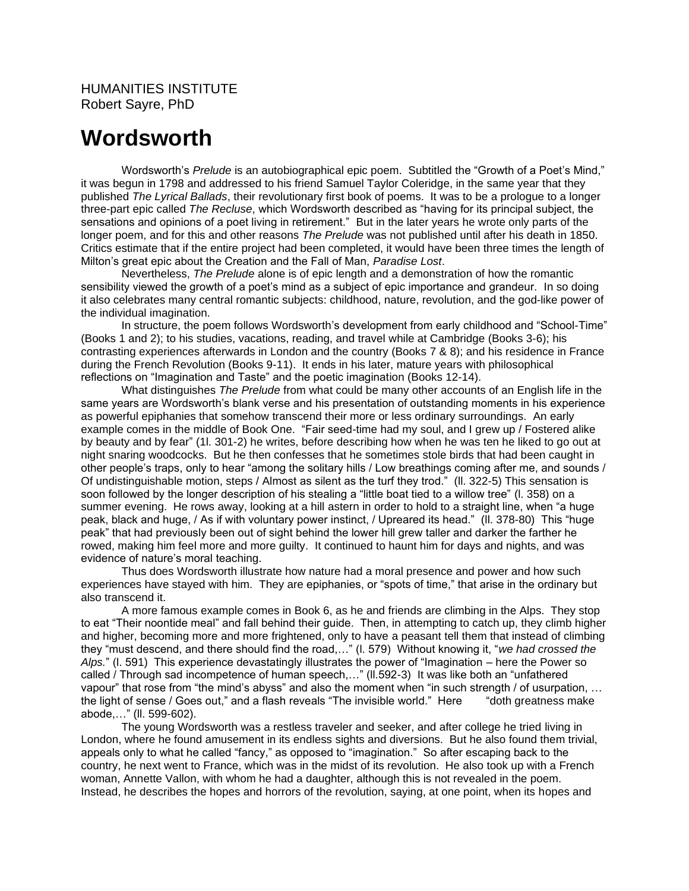## **Wordsworth**

Wordsworth's *Prelude* is an autobiographical epic poem. Subtitled the "Growth of a Poet's Mind," it was begun in 1798 and addressed to his friend Samuel Taylor Coleridge, in the same year that they published *The Lyrical Ballads*, their revolutionary first book of poems. It was to be a prologue to a longer three-part epic called *The Recluse*, which Wordsworth described as "having for its principal subject, the sensations and opinions of a poet living in retirement." But in the later years he wrote only parts of the longer poem, and for this and other reasons *The Prelude* was not published until after his death in 1850. Critics estimate that if the entire project had been completed, it would have been three times the length of Milton's great epic about the Creation and the Fall of Man, *Paradise Lost*.

Nevertheless, *The Prelude* alone is of epic length and a demonstration of how the romantic sensibility viewed the growth of a poet's mind as a subject of epic importance and grandeur. In so doing it also celebrates many central romantic subjects: childhood, nature, revolution, and the god-like power of the individual imagination.

In structure, the poem follows Wordsworth's development from early childhood and "School-Time" (Books 1 and 2); to his studies, vacations, reading, and travel while at Cambridge (Books 3-6); his contrasting experiences afterwards in London and the country (Books 7 & 8); and his residence in France during the French Revolution (Books 9-11). It ends in his later, mature years with philosophical reflections on "Imagination and Taste" and the poetic imagination (Books 12-14).

What distinguishes *The Prelude* from what could be many other accounts of an English life in the same years are Wordsworth's blank verse and his presentation of outstanding moments in his experience as powerful epiphanies that somehow transcend their more or less ordinary surroundings. An early example comes in the middle of Book One. "Fair seed-time had my soul, and I grew up / Fostered alike by beauty and by fear" (1l. 301-2) he writes, before describing how when he was ten he liked to go out at night snaring woodcocks. But he then confesses that he sometimes stole birds that had been caught in other people's traps, only to hear "among the solitary hills / Low breathings coming after me, and sounds / Of undistinguishable motion, steps / Almost as silent as the turf they trod." (ll. 322-5) This sensation is soon followed by the longer description of his stealing a "little boat tied to a willow tree" (l. 358) on a summer evening. He rows away, looking at a hill astern in order to hold to a straight line, when "a huge peak, black and huge, / As if with voluntary power instinct, / Upreared its head." (ll. 378-80) This "huge peak" that had previously been out of sight behind the lower hill grew taller and darker the farther he rowed, making him feel more and more guilty. It continued to haunt him for days and nights, and was evidence of nature's moral teaching.

Thus does Wordsworth illustrate how nature had a moral presence and power and how such experiences have stayed with him. They are epiphanies, or "spots of time," that arise in the ordinary but also transcend it.

A more famous example comes in Book 6, as he and friends are climbing in the Alps. They stop to eat "Their noontide meal" and fall behind their guide. Then, in attempting to catch up, they climb higher and higher, becoming more and more frightened, only to have a peasant tell them that instead of climbing they "must descend, and there should find the road,…" (l. 579) Without knowing it, "*we had crossed the Alps.*" (l. 591) This experience devastatingly illustrates the power of "Imagination – here the Power so called / Through sad incompetence of human speech,…" (ll.592-3) It was like both an "unfathered vapour" that rose from "the mind's abyss" and also the moment when "in such strength / of usurpation, … the light of sense / Goes out," and a flash reveals "The invisible world." Here "doth greatness make abode,…" (ll. 599-602).

The young Wordsworth was a restless traveler and seeker, and after college he tried living in London, where he found amusement in its endless sights and diversions. But he also found them trivial, appeals only to what he called "fancy," as opposed to "imagination." So after escaping back to the country, he next went to France, which was in the midst of its revolution. He also took up with a French woman, Annette Vallon, with whom he had a daughter, although this is not revealed in the poem. Instead, he describes the hopes and horrors of the revolution, saying, at one point, when its hopes and